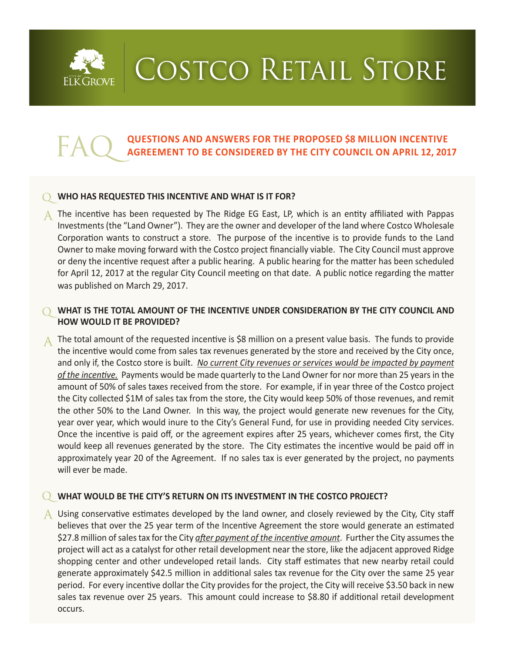

# COSTCO RETAIL STORE

# **EAQ QUESTIONS AND ANSWERS FOR THE PROPOSED \$8 MILLION INCENTIVE**<br>**AGREEMENT TO BE CONSIDERED BY THE CITY COUNCIL ON APRIL 12, 2017**

#### **WHO HAS REQUESTED THIS INCENTIVE AND WHAT IS IT FOR?**

A The incentive has been requested by The Ridge EG East, LP, which is an entity affiliated with Pappas Investments (the "Land Owner"). They are the owner and developer of the land where Costco Wholesale Corporation wants to construct a store. The purpose of the incentive is to provide funds to the Land Owner to make moving forward with the Costco project financially viable. The City Council must approve or deny the incentive request after a public hearing. A public hearing for the matter has been scheduled for April 12, 2017 at the regular City Council meeting on that date. A public notice regarding the matter was published on March 29, 2017.

# **WHAT IS THE TOTAL AMOUNT OF THE INCENTIVE UNDER CONSIDERATION BY THE CITY COUNCIL AND HOW WOULD IT BE PROVIDED?**

A The total amount of the requested incentive is \$8 million on a present value basis. The funds to provide the incentive would come from sales tax revenues generated by the store and received by the City once, and only if, the Costco store is built. *No current City revenues or services would be impacted by payment of the incentive.* Payments would be made quarterly to the Land Owner for nor more than 25 years in the amount of 50% of sales taxes received from the store. For example, if in year three of the Costco project the City collected \$1M of sales tax from the store, the City would keep 50% of those revenues, and remit the other 50% to the Land Owner. In this way, the project would generate new revenues for the City, year over year, which would inure to the City's General Fund, for use in providing needed City services. Once the incentive is paid off, or the agreement expires after 25 years, whichever comes first, the City would keep all revenues generated by the store. The City estimates the incentive would be paid off in approximately year 20 of the Agreement. If no sales tax is ever generated by the project, no payments will ever be made.

#### **WHAT WOULD BE THE CITY'S RETURN ON ITS INVESTMENT IN THE COSTCO PROJECT?**

 $\overline{A}$  Using conservative estimates developed by the land owner, and closely reviewed by the City, City staff believes that over the 25 year term of the Incentive Agreement the store would generate an estimated \$27.8 million of sales tax for the City *after payment of the incentive amount*. Further the City assumes the project will act as a catalyst for other retail development near the store, like the adjacent approved Ridge shopping center and other undeveloped retail lands. City staff estimates that new nearby retail could generate approximately \$42.5 million in additional sales tax revenue for the City over the same 25 year period. For every incentive dollar the City provides for the project, the City will receive \$3.50 back in new sales tax revenue over 25 years. This amount could increase to \$8.80 if additional retail development occurs.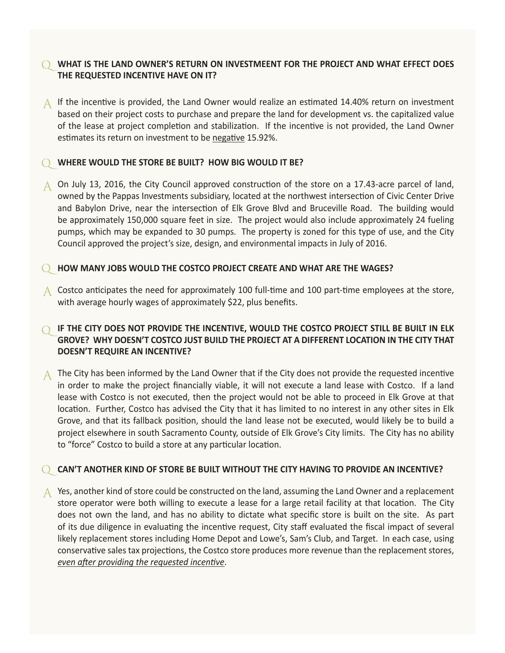# **WHAT IS THE LAND OWNER'S RETURN ON INVESTMEENT FOR THE PROJECT AND WHAT EFFECT DOES THE REQUESTED INCENTIVE HAVE ON IT?**

 $\uparrow$  If the incentive is provided, the Land Owner would realize an estimated 14.40% return on investment based on their project costs to purchase and prepare the land for development vs. the capitalized value of the lease at project completion and stabilization. If the incentive is not provided, the Land Owner estimates its return on investment to be negative 15.92%.

#### **WHERE WOULD THE STORE BE BUILT? HOW BIG WOULD IT BE?**

A On July 13, 2016, the City Council approved construction of the store on a 17.43-acre parcel of land, owned by the Pappas Investments subsidiary, located at the northwest intersection of Civic Center Drive and Babylon Drive, near the intersection of Elk Grove Blvd and Bruceville Road. The building would be approximately 150,000 square feet in size. The project would also include approximately 24 fueling pumps, which may be expanded to 30 pumps. The property is zoned for this type of use, and the City Council approved the project's size, design, and environmental impacts in July of 2016.

#### **HOW MANY JOBS WOULD THE COSTCO PROJECT CREATE AND WHAT ARE THE WAGES?**

A Costco anticipates the need for approximately 100 full-time and 100 part-time employees at the store, with average hourly wages of approximately \$22, plus benefits.

# **IF THE CITY DOES NOT PROVIDE THE INCENTIVE, WOULD THE COSTCO PROJECT STILL BE BUILT IN ELK GROVE? WHY DOESN'T COSTCO JUST BUILD THE PROJECT AT A DIFFERENT LOCATION IN THE CITY THAT DOESN'T REQUIRE AN INCENTIVE?**

A The City has been informed by the Land Owner that if the City does not provide the requested incentive in order to make the project financially viable, it will not execute a land lease with Costco. If a land lease with Costco is not executed, then the project would not be able to proceed in Elk Grove at that location. Further, Costco has advised the City that it has limited to no interest in any other sites in Elk Grove, and that its fallback position, should the land lease not be executed, would likely be to build a project elsewhere in south Sacramento County, outside of Elk Grove's City limits. The City has no ability to "force" Costco to build a store at any particular location.

#### **CAN'T ANOTHER KIND OF STORE BE BUILT WITHOUT THE CITY HAVING TO PROVIDE AN INCENTIVE?**

A Yes, another kind of store could be constructed on the land, assuming the Land Owner and a replacement store operator were both willing to execute a lease for a large retail facility at that location. The City does not own the land, and has no ability to dictate what specific store is built on the site. As part of its due diligence in evaluating the incentive request, City staff evaluated the fiscal impact of several likely replacement stores including Home Depot and Lowe's, Sam's Club, and Target. In each case, using conservative sales tax projections, the Costco store produces more revenue than the replacement stores, *even after providing the requested incentive*.